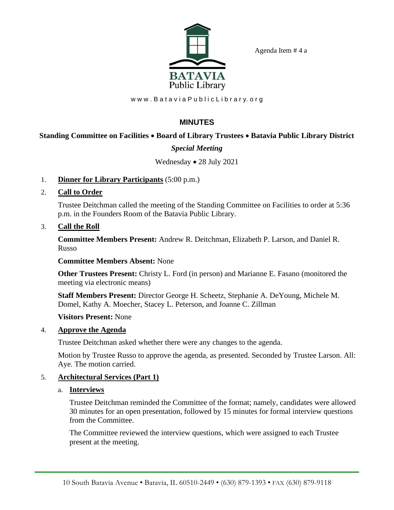Agenda Item # 4 a



www.Batavia Public Library.org

# **MINUTES**

# **Standing Committee on Facilities** • **Board of Library Trustees** • **Batavia Public Library District**

# *Special Meeting*

### Wednesday • 28 July 2021

- 1. **Dinner for Library Participants** (5:00 p.m.)
- 2. **Call to Order**

Trustee Deitchman called the meeting of the Standing Committee on Facilities to order at 5:36 p.m. in the Founders Room of the Batavia Public Library.

3. **Call the Roll**

**Committee Members Present:** Andrew R. Deitchman, Elizabeth P. Larson, and Daniel R. Russo

#### **Committee Members Absent:** None

**Other Trustees Present:** Christy L. Ford (in person) and Marianne E. Fasano (monitored the meeting via electronic means)

**Staff Members Present:** Director George H. Scheetz, Stephanie A. DeYoung, Michele M. Domel, Kathy A. Moecher, Stacey L. Peterson, and Joanne C. Zillman

#### **Visitors Present:** None

### 4. **Approve the Agenda**

Trustee Deitchman asked whether there were any changes to the agenda.

Motion by Trustee Russo to approve the agenda, as presented. Seconded by Trustee Larson. All: Aye. The motion carried.

### 5. **Architectural Services (Part 1)**

#### a. **Interviews**

Trustee Deitchman reminded the Committee of the format; namely, candidates were allowed 30 minutes for an open presentation, followed by 15 minutes for formal interview questions from the Committee.

The Committee reviewed the interview questions, which were assigned to each Trustee present at the meeting.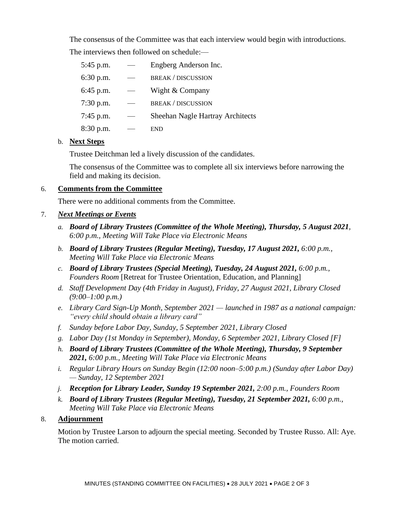The consensus of the Committee was that each interview would begin with introductions. The interviews then followed on schedule:—

| 5:45 p.m.   | Engberg Anderson Inc.                   |
|-------------|-----------------------------------------|
| $6:30$ p.m. | <b>BREAK / DISCUSSION</b>               |
| 6:45 p.m.   | Wight & Company                         |
| 7:30 p.m.   | <b>BREAK / DISCUSSION</b>               |
| 7:45 p.m.   | <b>Sheehan Nagle Hartray Architects</b> |
| 8:30 p.m.   | END                                     |

#### b. **Next Steps**

Trustee Deitchman led a lively discussion of the candidates.

The consensus of the Committee was to complete all six interviews before narrowing the field and making its decision.

### 6. **Comments from the Committee**

There were no additional comments from the Committee.

### 7. *Next Meetings or Events*

- *a. Board of Library Trustees (Committee of the Whole Meeting), Thursday, 5 August 2021, 6:00 p.m., Meeting Will Take Place via Electronic Means*
- *b. Board of Library Trustees (Regular Meeting), Tuesday, 17 August 2021, 6:00 p.m., Meeting Will Take Place via Electronic Means*
- *c. Board of Library Trustees (Special Meeting), Tuesday, 24 August 2021, 6:00 p.m., Founders Room* [Retreat for Trustee Orientation, Education, and Planning]
- *d. Staff Development Day (4th Friday in August), Friday, 27 August 2021, Library Closed (9:00–1:00 p.m.)*
- *e. Library Card Sign-Up Month, September 2021 — launched in 1987 as a national campaign: "every child should obtain a library card"*
- *f. Sunday before Labor Day, Sunday, 5 September 2021, Library Closed*
- *g. Labor Day (1st Monday in September), Monday, 6 September 2021, Library Closed [F]*
- *h. Board of Library Trustees (Committee of the Whole Meeting), Thursday, 9 September 2021, 6:00 p.m., Meeting Will Take Place via Electronic Means*
- *i. Regular Library Hours on Sunday Begin (12:00 noon–5:00 p.m.) (Sunday after Labor Day) — Sunday, 12 September 2021*
- *j. Reception for Library Leader, Sunday 19 September 2021, 2:00 p.m., Founders Room*
- *k. Board of Library Trustees (Regular Meeting), Tuesday, 21 September 2021, 6:00 p.m., Meeting Will Take Place via Electronic Means*

#### 8. **Adjournment**

Motion by Trustee Larson to adjourn the special meeting. Seconded by Trustee Russo. All: Aye. The motion carried.